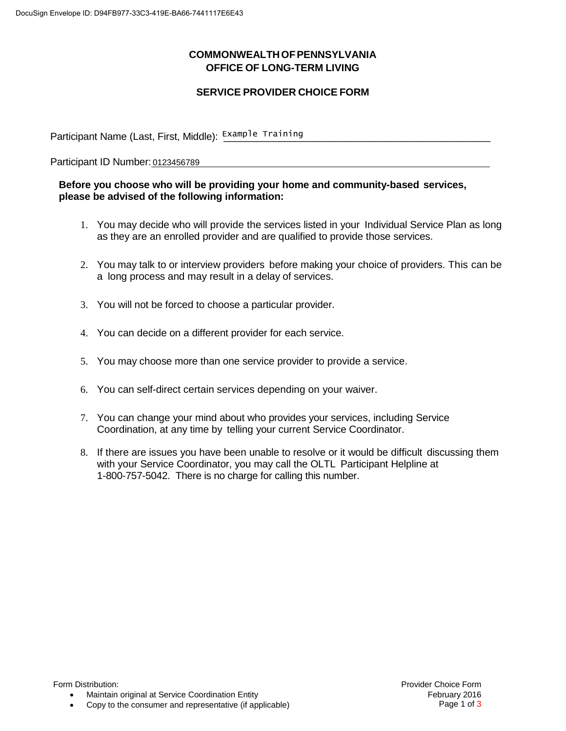## **COMMONWEALTHOFPENNSYLVANIA OFFICE OF LONG-TERM LIVING**

## **SERVICE PROVIDER CHOICE FORM**

Participant Name (Last, First, Middle): Example Training \_\_\_\_\_\_\_\_\_\_\_\_\_\_\_\_\_\_\_\_\_\_\_

Participant ID Number: 0123456789

## **Before you choose who will be providing your home and community-based services, please be advised of the following information:**

- 1. You may decide who will provide the services listed in your Individual Service Plan as long as they are an enrolled provider and are qualified to provide those services.
- 2. You may talk to or interview providers before making your choice of providers. This can be a long process and may result in a delay of services.
- 3. You will not be forced to choose a particular provider.
- 4. You can decide on a different provider for each service.
- 5. You may choose more than one service provider to provide a service.
- 6. You can self-direct certain services depending on your waiver.
- 7. You can change your mind about who provides your services, including Service Coordination, at any time by telling your current Service Coordinator.
- 8. If there are issues you have been unable to resolve or it would be difficult discussing them with your Service Coordinator, you may call the OLTL Participant Helpline at 1-800-757-5042. There is no charge for calling this number.

 $\bullet$ Maintain original at Service Coordination Entity

 $\bullet$ Copy to the consumer and representative (if applicable)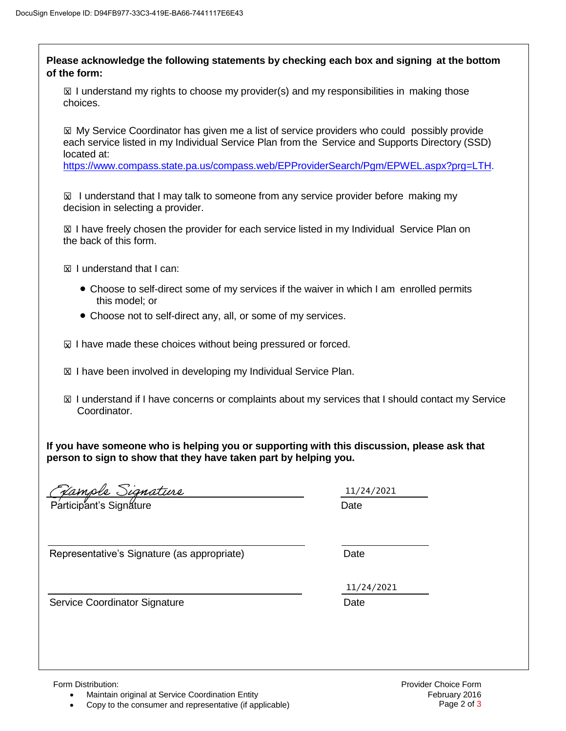| $\boxtimes$ I understand my rights to choose my provider(s) and my responsibilities in making those                                                                                                            |            |
|----------------------------------------------------------------------------------------------------------------------------------------------------------------------------------------------------------------|------------|
| choices.                                                                                                                                                                                                       |            |
| ⊠ My Service Coordinator has given me a list of service providers who could possibly provide<br>each service listed in my Individual Service Plan from the Service and Supports Directory (SSD)<br>located at: |            |
| https://www.compass.state.pa.us/compass.web/EPProviderSearch/Pgm/EPWEL.aspx?prg=LTH.                                                                                                                           |            |
| $\boxtimes$ I understand that I may talk to someone from any service provider before making my<br>decision in selecting a provider.                                                                            |            |
| ⊠ I have freely chosen the provider for each service listed in my Individual Service Plan on<br>the back of this form.                                                                                         |            |
| $\boxtimes$ I understand that I can:                                                                                                                                                                           |            |
| • Choose to self-direct some of my services if the waiver in which I am enrolled permits<br>this model; or                                                                                                     |            |
| • Choose not to self-direct any, all, or some of my services.                                                                                                                                                  |            |
| $\boxtimes$ I have made these choices without being pressured or forced.                                                                                                                                       |            |
| ⊠ I have been involved in developing my Individual Service Plan.                                                                                                                                               |            |
| $\boxtimes$ I understand if I have concerns or complaints about my services that I should contact my Service<br>Coordinator.                                                                                   |            |
| If you have someone who is helping you or supporting with this discussion, please ask that<br>person to sign to show that they have taken part by helping you.                                                 |            |
| <u>Jample Signature</u>                                                                                                                                                                                        | 11/24/2021 |
|                                                                                                                                                                                                                | Date       |
| Representative's Signature (as appropriate)                                                                                                                                                                    | Date       |
|                                                                                                                                                                                                                |            |
| Service Coordinator Signature                                                                                                                                                                                  | 11/24/2021 |
|                                                                                                                                                                                                                | Date       |

 $\bullet$ Maintain original at Service Coordination Entity

 $\bullet$ Copy to the consumer and representative (if applicable)